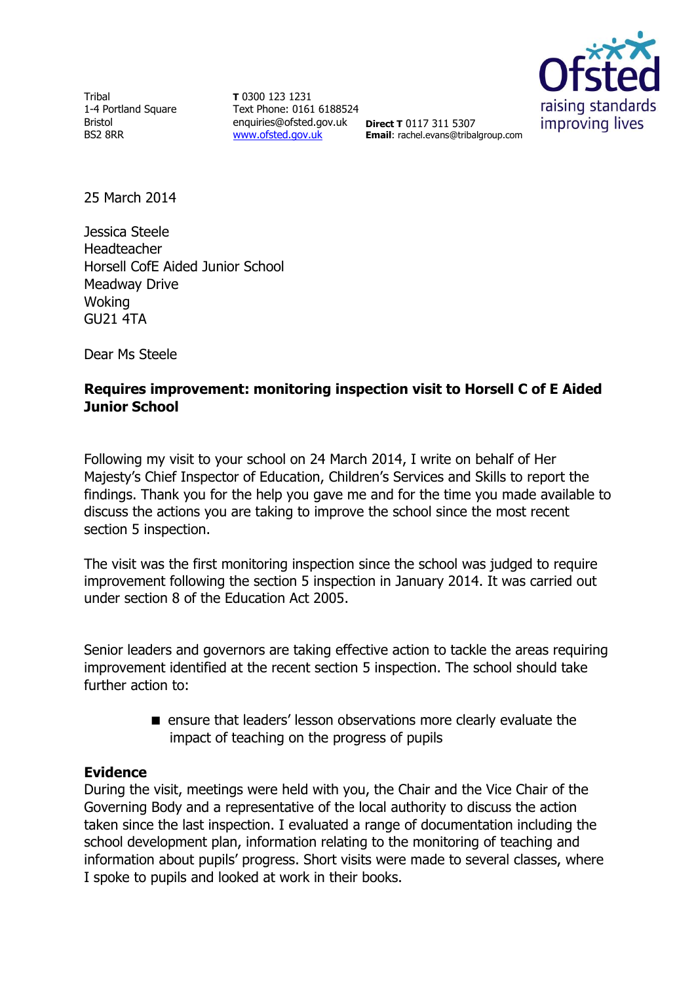Tribal 1-4 Portland Square Bristol BS2 8RR

**T** 0300 123 1231 Text Phone: 0161 6188524 enquiries@ofsted.gov.uk **Direct T** 0117 311 5307 [www.ofsted.gov.uk](http://www.ofsted.gov.uk/)



**Email**: rachel.evans@tribalgroup.com

25 March 2014

Jessica Steele Headteacher Horsell CofE Aided Junior School Meadway Drive Woking GU21 4TA

Dear Ms Steele

## **Requires improvement: monitoring inspection visit to Horsell C of E Aided Junior School**

Following my visit to your school on 24 March 2014, I write on behalf of Her Majesty's Chief Inspector of Education, Children's Services and Skills to report the findings. Thank you for the help you gave me and for the time you made available to discuss the actions you are taking to improve the school since the most recent section 5 inspection.

The visit was the first monitoring inspection since the school was judged to require improvement following the section 5 inspection in January 2014. It was carried out under section 8 of the Education Act 2005.

Senior leaders and governors are taking effective action to tackle the areas requiring improvement identified at the recent section 5 inspection. The school should take further action to:

> **E** ensure that leaders' lesson observations more clearly evaluate the impact of teaching on the progress of pupils

## **Evidence**

During the visit, meetings were held with you, the Chair and the Vice Chair of the Governing Body and a representative of the local authority to discuss the action taken since the last inspection. I evaluated a range of documentation including the school development plan, information relating to the monitoring of teaching and information about pupils' progress. Short visits were made to several classes, where I spoke to pupils and looked at work in their books.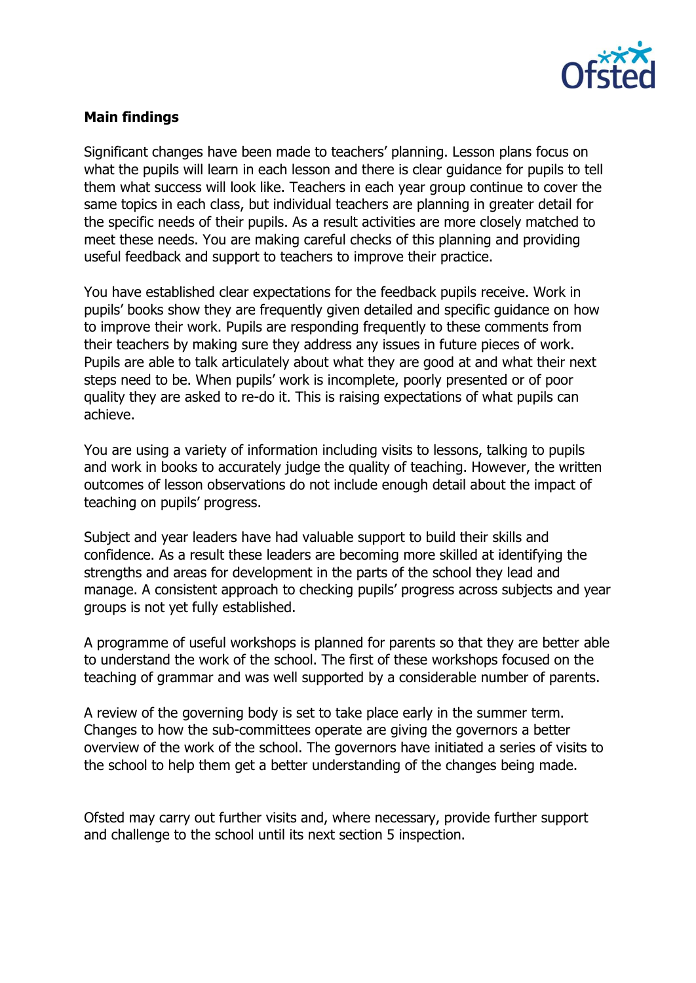

## **Main findings**

Significant changes have been made to teachers' planning. Lesson plans focus on what the pupils will learn in each lesson and there is clear guidance for pupils to tell them what success will look like. Teachers in each year group continue to cover the same topics in each class, but individual teachers are planning in greater detail for the specific needs of their pupils. As a result activities are more closely matched to meet these needs. You are making careful checks of this planning and providing useful feedback and support to teachers to improve their practice.

You have established clear expectations for the feedback pupils receive. Work in pupils' books show they are frequently given detailed and specific guidance on how to improve their work. Pupils are responding frequently to these comments from their teachers by making sure they address any issues in future pieces of work. Pupils are able to talk articulately about what they are good at and what their next steps need to be. When pupils' work is incomplete, poorly presented or of poor quality they are asked to re-do it. This is raising expectations of what pupils can achieve.

You are using a variety of information including visits to lessons, talking to pupils and work in books to accurately judge the quality of teaching. However, the written outcomes of lesson observations do not include enough detail about the impact of teaching on pupils' progress.

Subject and year leaders have had valuable support to build their skills and confidence. As a result these leaders are becoming more skilled at identifying the strengths and areas for development in the parts of the school they lead and manage. A consistent approach to checking pupils' progress across subjects and year groups is not yet fully established.

A programme of useful workshops is planned for parents so that they are better able to understand the work of the school. The first of these workshops focused on the teaching of grammar and was well supported by a considerable number of parents.

A review of the governing body is set to take place early in the summer term. Changes to how the sub-committees operate are giving the governors a better overview of the work of the school. The governors have initiated a series of visits to the school to help them get a better understanding of the changes being made.

Ofsted may carry out further visits and, where necessary, provide further support and challenge to the school until its next section 5 inspection.